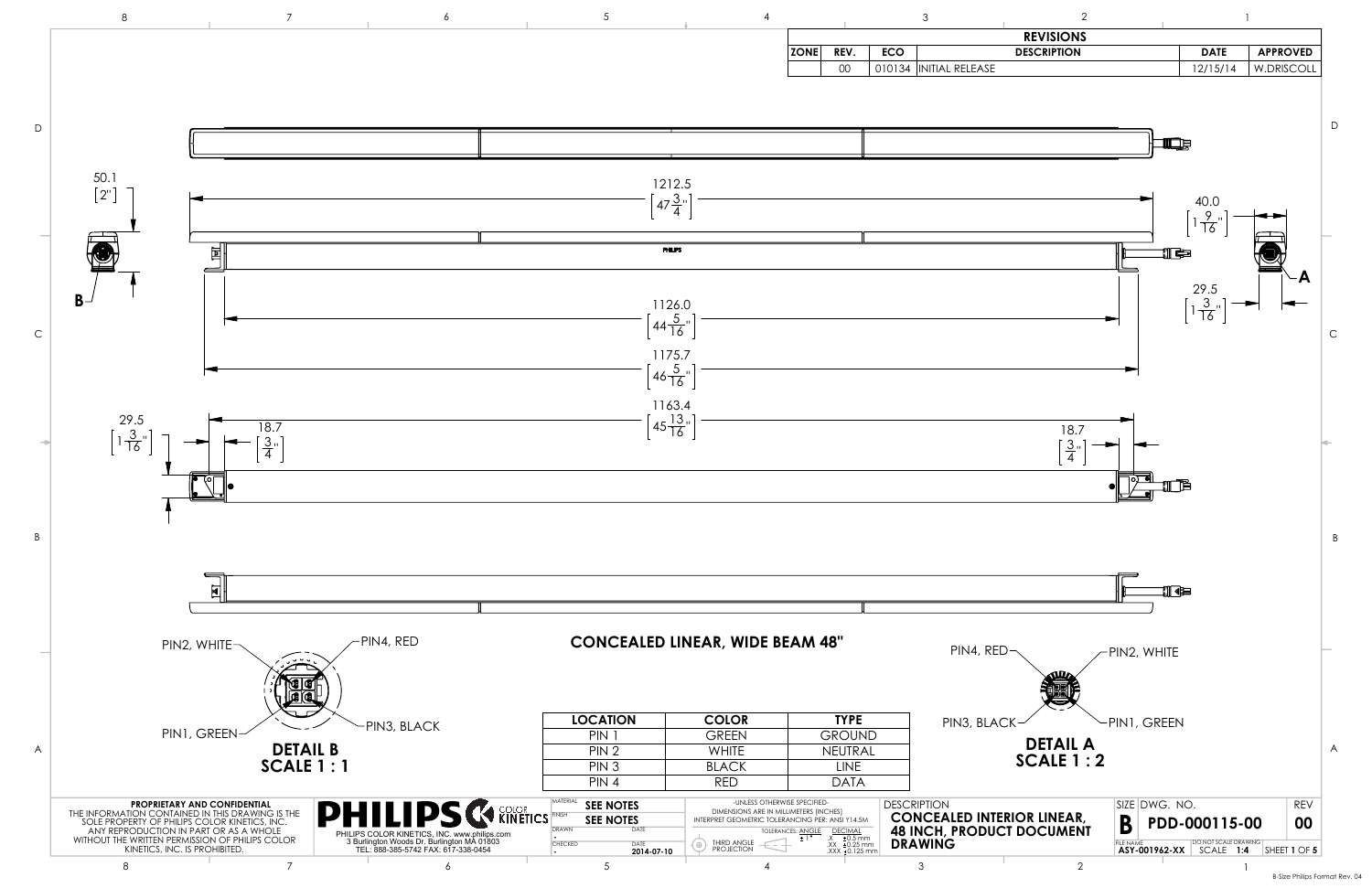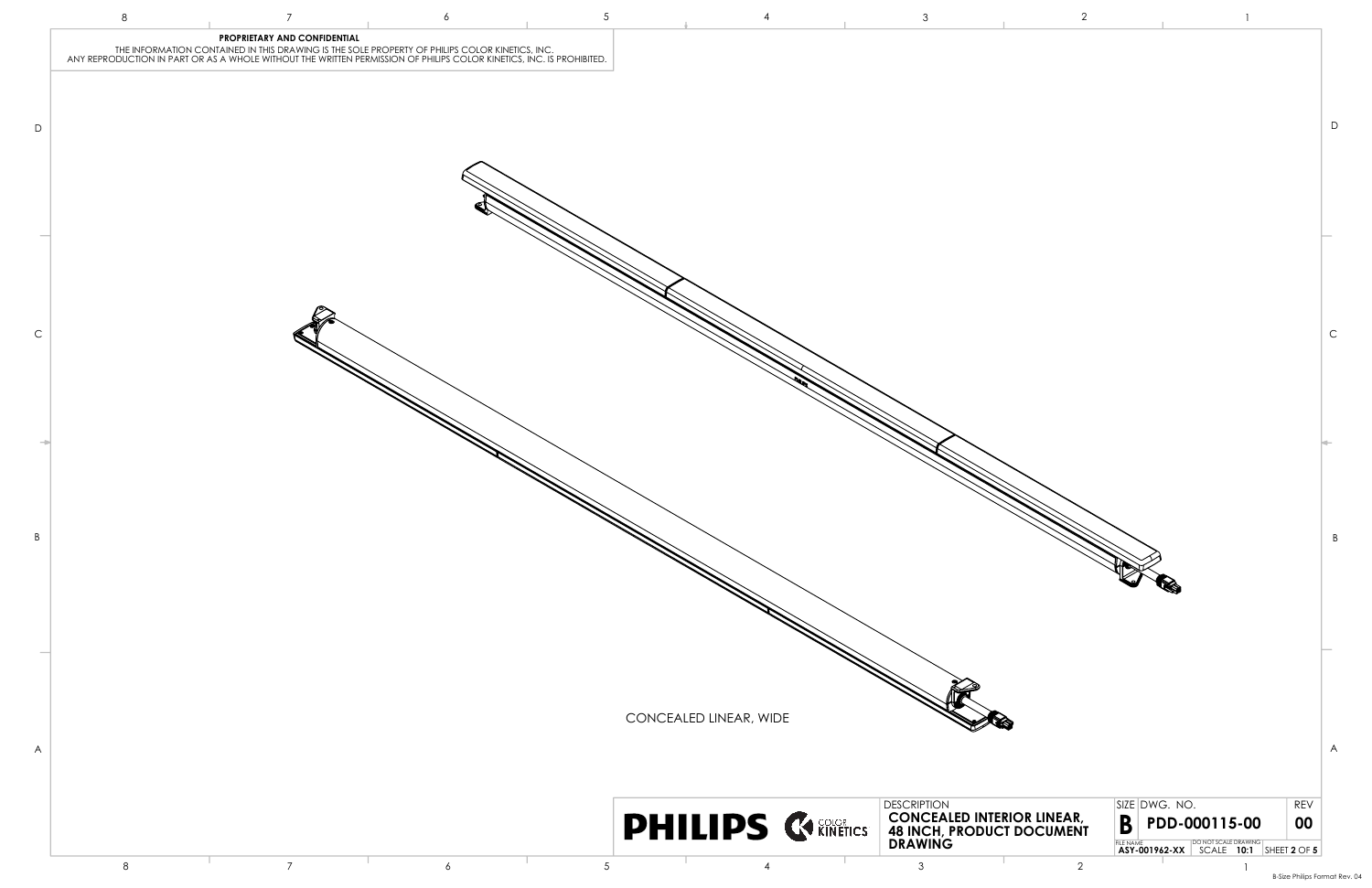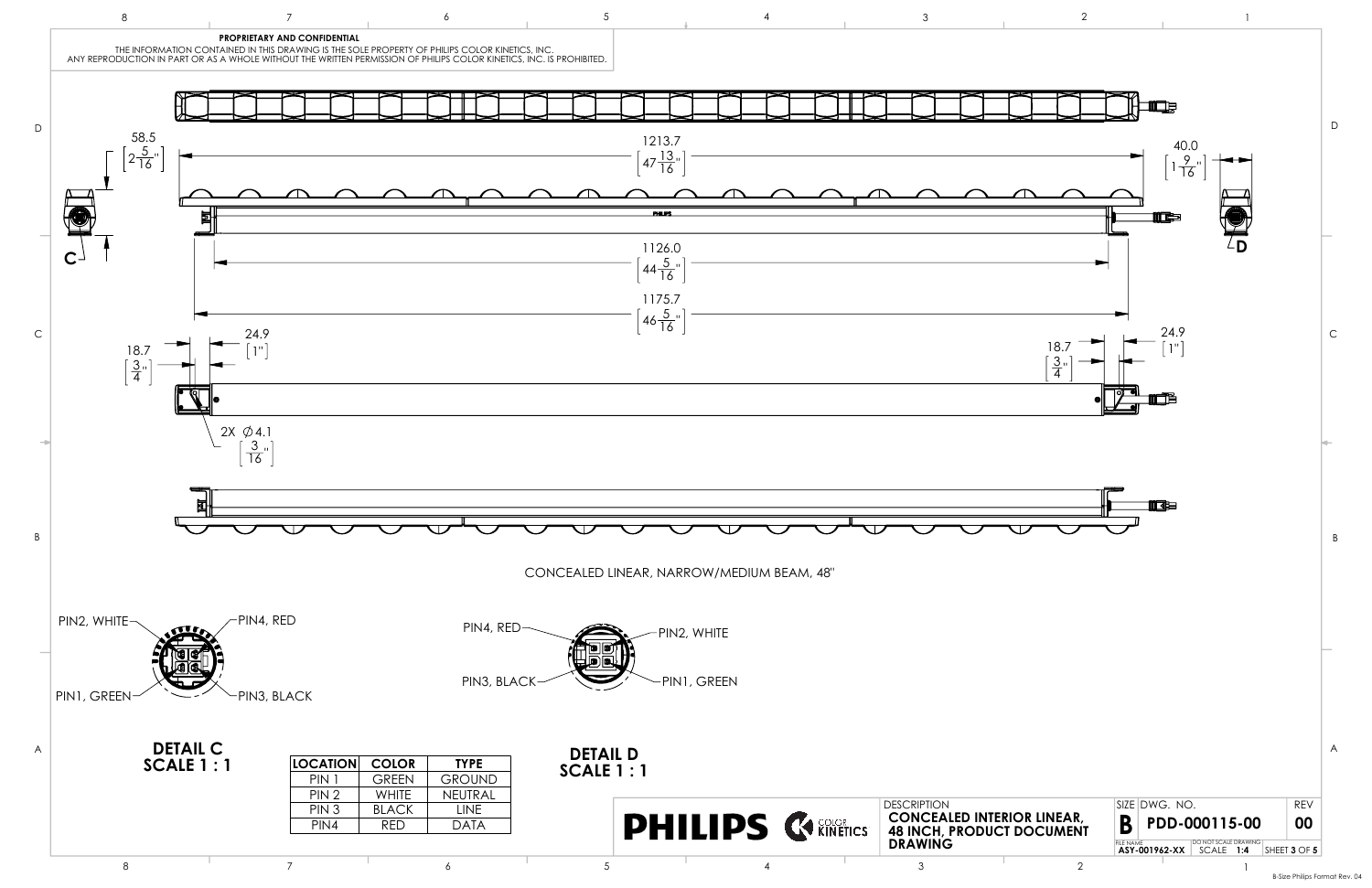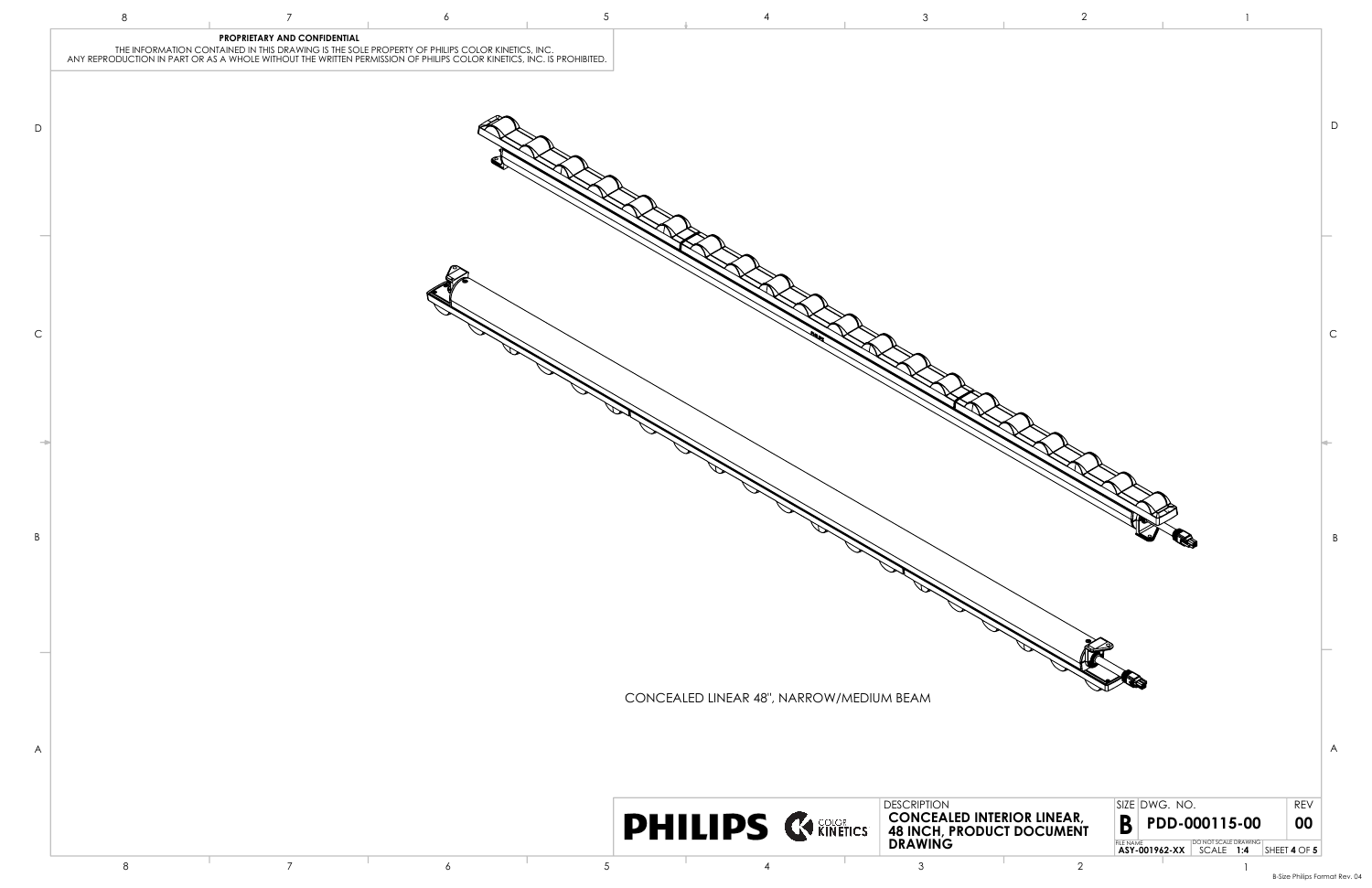